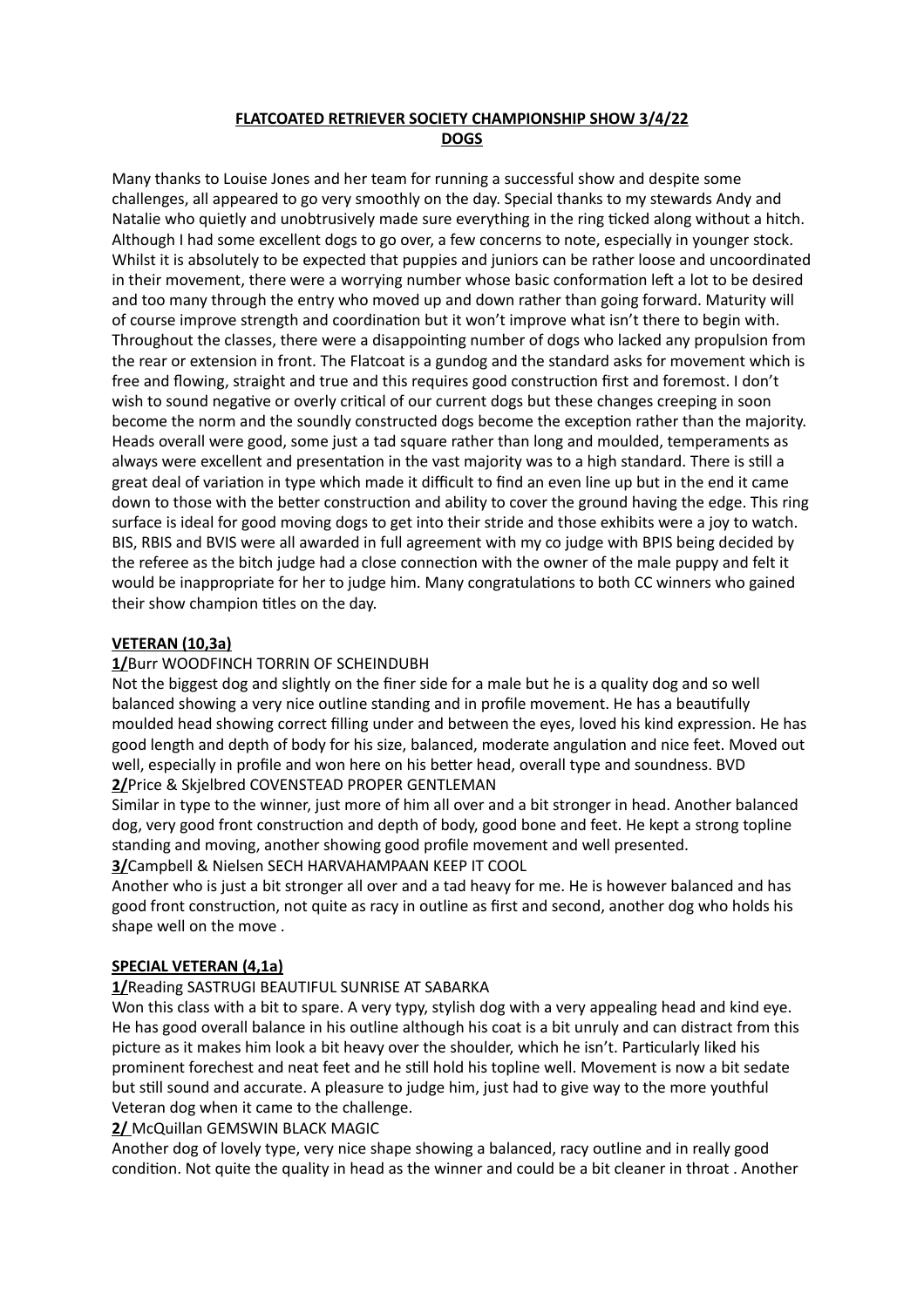## **FLATCOATED RETRIEVER SOCIETY CHAMPIONSHIP SHOW 3/4/22 DOGS**

Many thanks to Louise Jones and her team for running a successful show and despite some challenges, all appeared to go very smoothly on the day. Special thanks to my stewards Andy and Natalie who quietly and unobtrusively made sure everything in the ring ticked along without a hitch. Although I had some excellent dogs to go over, a few concerns to note, especially in younger stock. Whilst it is absolutely to be expected that puppies and juniors can be rather loose and uncoordinated in their movement, there were a worrying number whose basic conformation left a lot to be desired and too many through the entry who moved up and down rather than going forward. Maturity will of course improve strength and coordination but it won't improve what isn't there to begin with. Throughout the classes, there were a disappointing number of dogs who lacked any propulsion from the rear or extension in front. The Flatcoat is a gundog and the standard asks for movement which is free and flowing, straight and true and this requires good construction first and foremost. I don't wish to sound negative or overly critical of our current dogs but these changes creeping in soon become the norm and the soundly constructed dogs become the exception rather than the majority. Heads overall were good, some just a tad square rather than long and moulded, temperaments as always were excellent and presentation in the vast majority was to a high standard. There is still a great deal of variation in type which made it difficult to find an even line up but in the end it came down to those with the better construction and ability to cover the ground having the edge. This ring surface is ideal for good moving dogs to get into their stride and those exhibits were a joy to watch. BIS, RBIS and BVIS were all awarded in full agreement with my co judge with BPIS being decided by the referee as the bitch judge had a close connection with the owner of the male puppy and felt it would be inappropriate for her to judge him. Many congratulations to both CC winners who gained their show champion titles on the day.

### **VETERAN (10,3a)**

## **1/**Burr WOODFINCH TORRIN OF SCHEINDUBH

Not the biggest dog and slightly on the finer side for a male but he is a quality dog and so well balanced showing a very nice outline standing and in profile movement. He has a beautifully moulded head showing correct filling under and between the eyes, loved his kind expression. He has good length and depth of body for his size, balanced, moderate angulation and nice feet. Moved out well, especially in profile and won here on his better head, overall type and soundness. BVD **2/**Price & Skjelbred COVENSTEAD PROPER GENTLEMAN

Similar in type to the winner, just more of him all over and a bit stronger in head. Another balanced dog, very good front construction and depth of body, good bone and feet. He kept a strong topline standing and moving, another showing good profile movement and well presented. **3/**Campbell & Nielsen SECH HARVAHAMPAAN KEEP IT COOL

Another who is just a bit stronger all over and a tad heavy for me. He is however balanced and has good front construction, not quite as racy in outline as first and second, another dog who holds his shape well on the move .

#### **SPECIAL VETERAN (4,1a)**

#### **1/**Reading SASTRUGI BEAUTIFUL SUNRISE AT SABARKA

Won this class with a bit to spare. A very typy, stylish dog with a very appealing head and kind eye. He has good overall balance in his outline although his coat is a bit unruly and can distract from this picture as it makes him look a bit heavy over the shoulder, which he isn't. Particularly liked his prominent forechest and neat feet and he still hold his topline well. Movement is now a bit sedate but still sound and accurate. A pleasure to judge him, just had to give way to the more youthful Veteran dog when it came to the challenge.

**2/** McQuillan GEMSWIN BLACK MAGIC

Another dog of lovely type, very nice shape showing a balanced, racy outline and in really good condition. Not quite the quality in head as the winner and could be a bit cleaner in throat . Another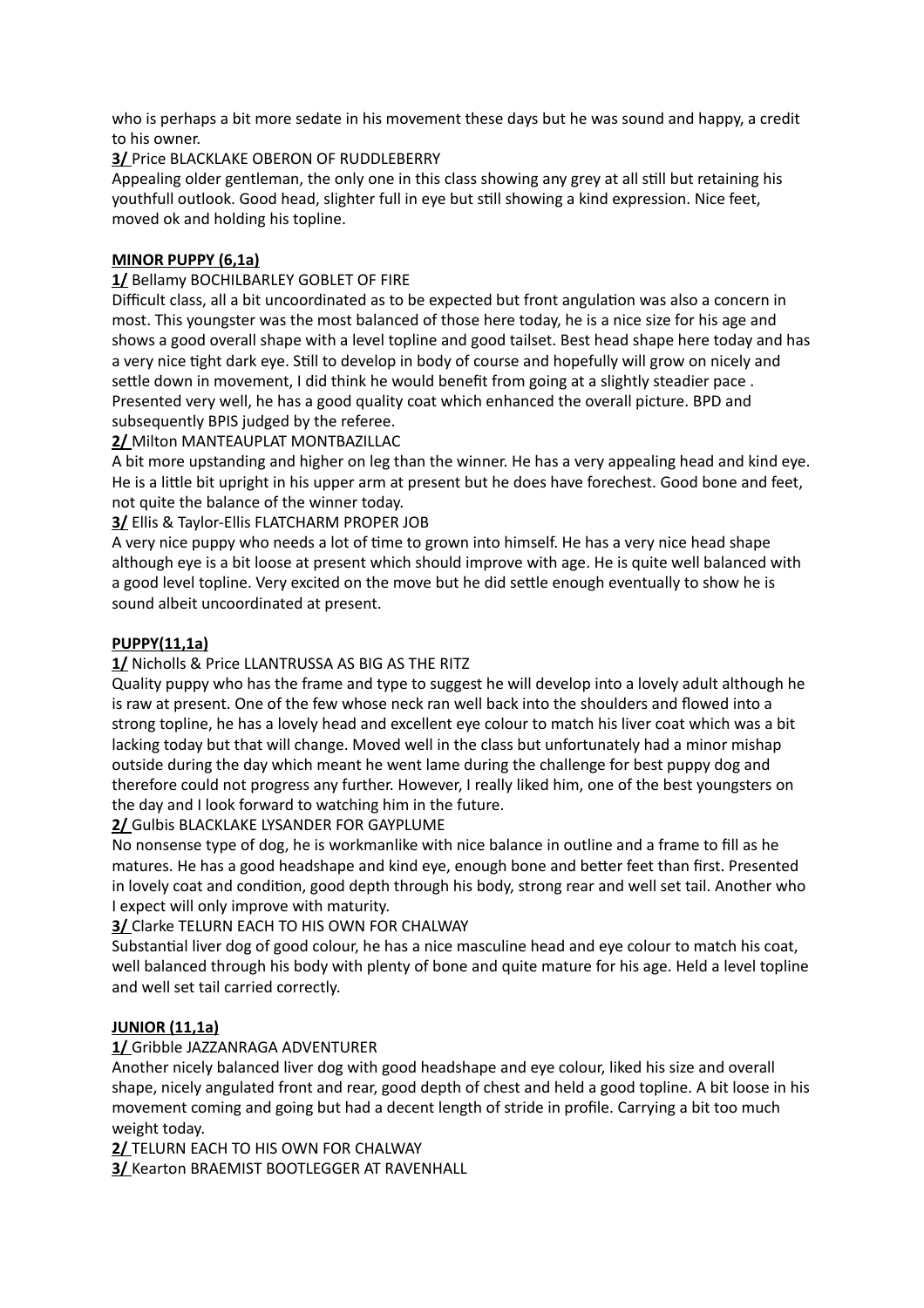who is perhaps a bit more sedate in his movement these days but he was sound and happy, a credit to his owner.

# **3/** Price BLACKLAKE OBERON OF RUDDLEBERRY

Appealing older gentleman, the only one in this class showing any grey at all still but retaining his youthfull outlook. Good head, slighter full in eye but still showing a kind expression. Nice feet, moved ok and holding his topline.

## **MINOR PUPPY (6,1a)**

## **1/** Bellamy BOCHILBARLEY GOBLET OF FIRE

Difficult class, all a bit uncoordinated as to be expected but front angulation was also a concern in most. This youngster was the most balanced of those here today, he is a nice size for his age and shows a good overall shape with a level topline and good tailset. Best head shape here today and has a very nice tight dark eye. Still to develop in body of course and hopefully will grow on nicely and settle down in movement, I did think he would benefit from going at a slightly steadier pace . Presented very well, he has a good quality coat which enhanced the overall picture. BPD and subsequently BPIS judged by the referee.

# **2/** Milton MANTEAUPLAT MONTBAZILLAC

A bit more upstanding and higher on leg than the winner. He has a very appealing head and kind eye. He is a little bit upright in his upper arm at present but he does have forechest. Good bone and feet, not quite the balance of the winner today.

# **3/** Ellis & Taylor-Ellis FLATCHARM PROPER JOB

A very nice puppy who needs a lot of time to grown into himself. He has a very nice head shape although eye is a bit loose at present which should improve with age. He is quite well balanced with a good level topline. Very excited on the move but he did settle enough eventually to show he is sound albeit uncoordinated at present.

## **PUPPY(11,1a)**

## **1/** Nicholls & Price LLANTRUSSA AS BIG AS THE RITZ

Quality puppy who has the frame and type to suggest he will develop into a lovely adult although he is raw at present. One of the few whose neck ran well back into the shoulders and flowed into a strong topline, he has a lovely head and excellent eye colour to match his liver coat which was a bit lacking today but that will change. Moved well in the class but unfortunately had a minor mishap outside during the day which meant he went lame during the challenge for best puppy dog and therefore could not progress any further. However, I really liked him, one of the best youngsters on the day and I look forward to watching him in the future.

## **2/** Gulbis BLACKLAKE LYSANDER FOR GAYPLUME

No nonsense type of dog, he is workmanlike with nice balance in outline and a frame to fill as he matures. He has a good headshape and kind eye, enough bone and better feet than first. Presented in lovely coat and condition, good depth through his body, strong rear and well set tail. Another who I expect will only improve with maturity.

## **3/** Clarke TELURN EACH TO HIS OWN FOR CHALWAY

Substantial liver dog of good colour, he has a nice masculine head and eye colour to match his coat, well balanced through his body with plenty of bone and quite mature for his age. Held a level topline and well set tail carried correctly.

## **JUNIOR (11,1a)**

## **1/** Gribble JAZZANRAGA ADVENTURER

Another nicely balanced liver dog with good headshape and eye colour, liked his size and overall shape, nicely angulated front and rear, good depth of chest and held a good topline. A bit loose in his movement coming and going but had a decent length of stride in profile. Carrying a bit too much weight today.

**2/** TELURN EACH TO HIS OWN FOR CHALWAY

**3/** Kearton BRAEMIST BOOTLEGGER AT RAVENHALL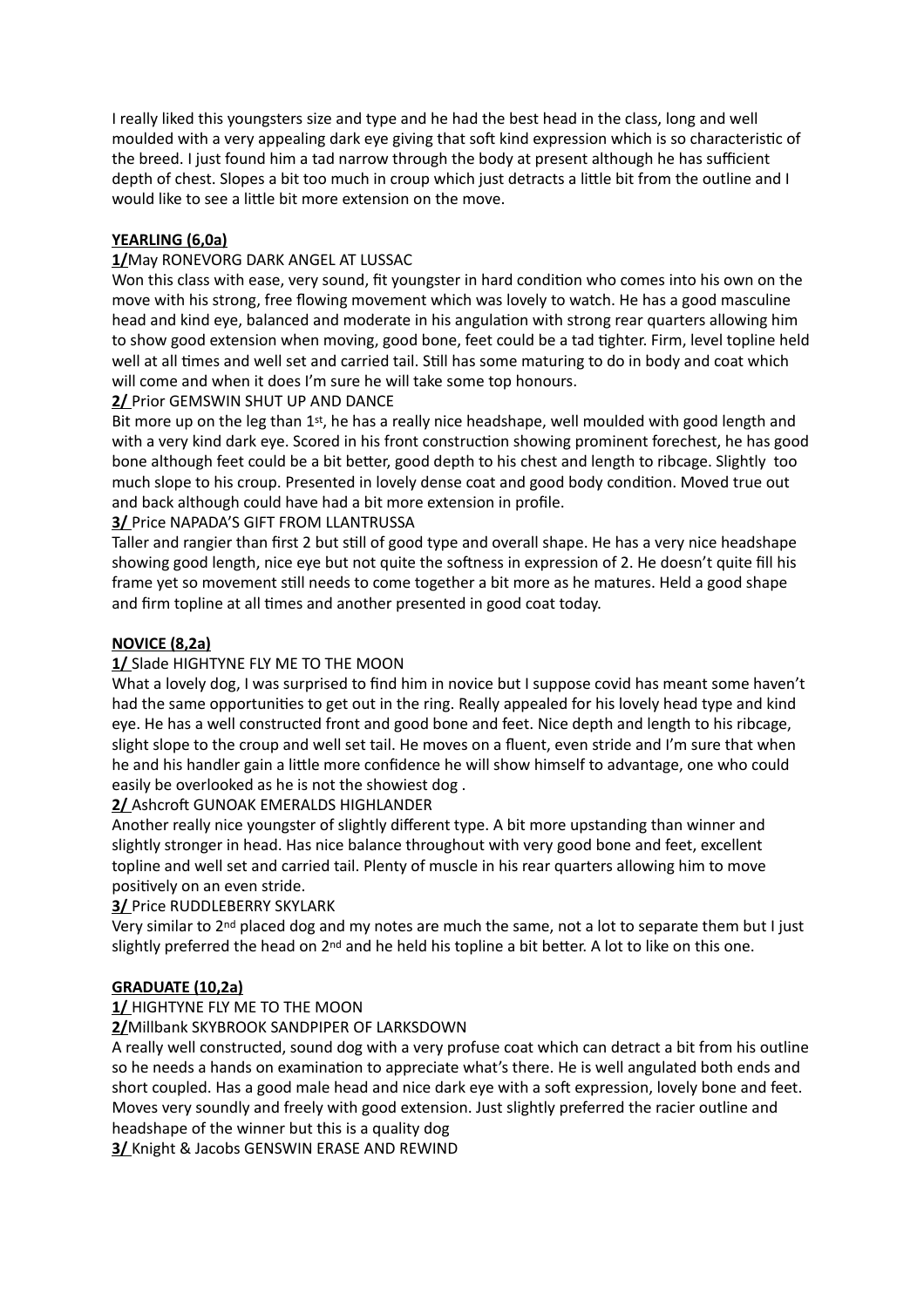I really liked this youngsters size and type and he had the best head in the class, long and well moulded with a very appealing dark eye giving that soft kind expression which is so characteristic of the breed. I just found him a tad narrow through the body at present although he has sufficient depth of chest. Slopes a bit too much in croup which just detracts a little bit from the outline and I would like to see a little bit more extension on the move.

# **YEARLING (6,0a)**

### **1/**May RONEVORG DARK ANGEL AT LUSSAC

Won this class with ease, very sound, fit youngster in hard condition who comes into his own on the move with his strong, free flowing movement which was lovely to watch. He has a good masculine head and kind eye, balanced and moderate in his angulation with strong rear quarters allowing him to show good extension when moving, good bone, feet could be a tad tighter. Firm, level topline held well at all times and well set and carried tail. Still has some maturing to do in body and coat which will come and when it does I'm sure he will take some top honours.

### **2/** Prior GEMSWIN SHUT UP AND DANCE

Bit more up on the leg than  $1<sup>st</sup>$ , he has a really nice headshape, well moulded with good length and with a very kind dark eye. Scored in his front construction showing prominent forechest, he has good bone although feet could be a bit better, good depth to his chest and length to ribcage. Slightly too much slope to his croup. Presented in lovely dense coat and good body condition. Moved true out and back although could have had a bit more extension in profile.

### **3/** Price NAPADA'S GIFT FROM LLANTRUSSA

Taller and rangier than first 2 but still of good type and overall shape. He has a very nice headshape showing good length, nice eye but not quite the softness in expression of 2. He doesn't quite fill his frame yet so movement still needs to come together a bit more as he matures. Held a good shape and firm topline at all times and another presented in good coat today.

### **NOVICE (8,2a)**

### **1/** Slade HIGHTYNE FLY ME TO THE MOON

What a lovely dog, I was surprised to find him in novice but I suppose covid has meant some haven't had the same opportunities to get out in the ring. Really appealed for his lovely head type and kind eye. He has a well constructed front and good bone and feet. Nice depth and length to his ribcage, slight slope to the croup and well set tail. He moves on a fluent, even stride and I'm sure that when he and his handler gain a little more confidence he will show himself to advantage, one who could easily be overlooked as he is not the showiest dog .

#### **2/** Ashcroft GUNOAK EMERALDS HIGHLANDER

Another really nice youngster of slightly different type. A bit more upstanding than winner and slightly stronger in head. Has nice balance throughout with very good bone and feet, excellent topline and well set and carried tail. Plenty of muscle in his rear quarters allowing him to move positively on an even stride.

#### **3/** Price RUDDLEBERRY SKYLARK

Very similar to 2nd placed dog and my notes are much the same, not a lot to separate them but I just slightly preferred the head on 2<sup>nd</sup> and he held his topline a bit better. A lot to like on this one.

#### **GRADUATE (10,2a)**

## **1/** HIGHTYNE FLY ME TO THE MOON

#### **2/**Millbank SKYBROOK SANDPIPER OF LARKSDOWN

A really well constructed, sound dog with a very profuse coat which can detract a bit from his outline so he needs a hands on examination to appreciate what's there. He is well angulated both ends and short coupled. Has a good male head and nice dark eye with a soft expression, lovely bone and feet. Moves very soundly and freely with good extension. Just slightly preferred the racier outline and headshape of the winner but this is a quality dog

**3/** Knight & Jacobs GENSWIN ERASE AND REWIND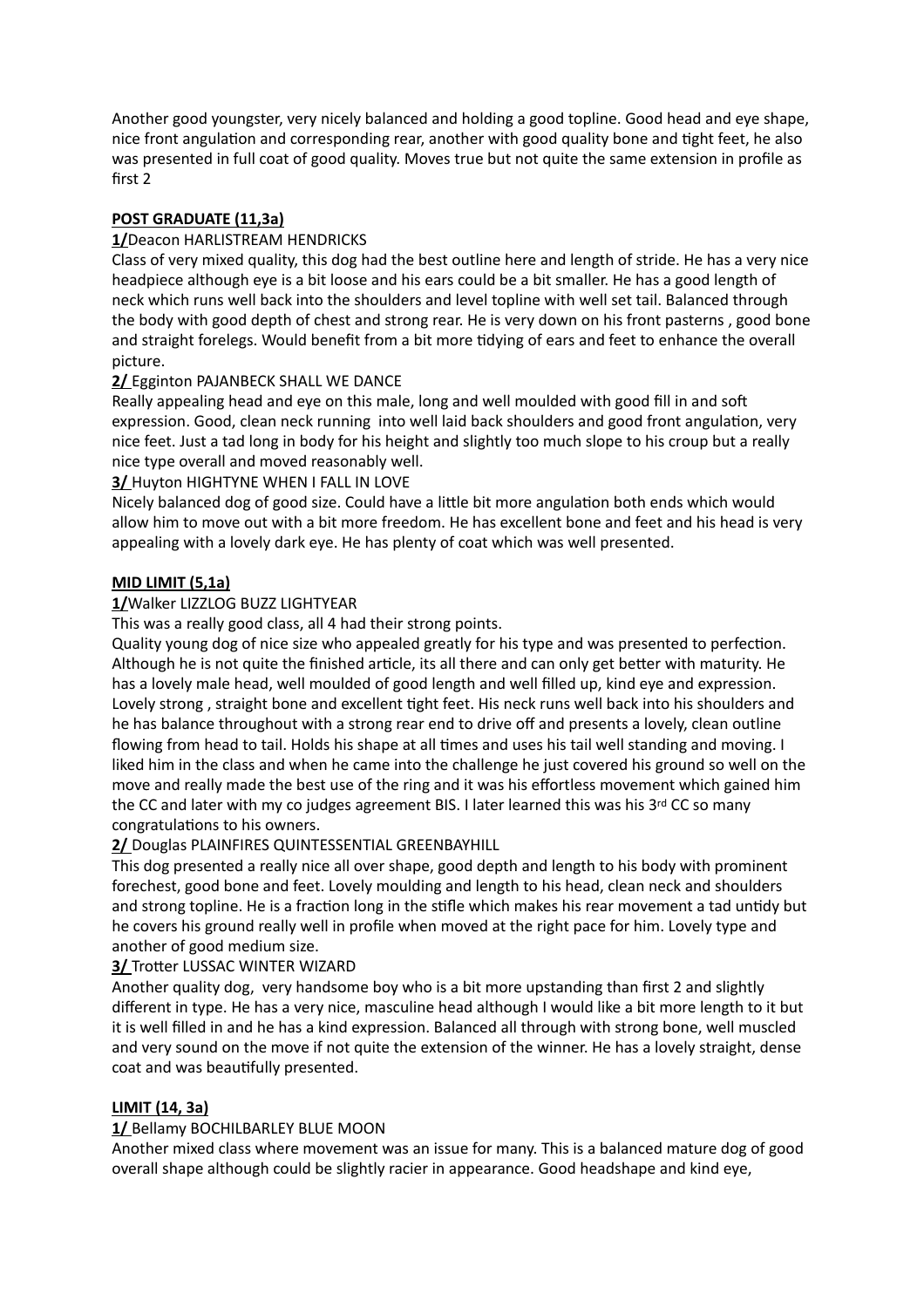Another good youngster, very nicely balanced and holding a good topline. Good head and eye shape, nice front angulation and corresponding rear, another with good quality bone and tight feet, he also was presented in full coat of good quality. Moves true but not quite the same extension in profile as first 2

## **POST GRADUATE (11,3a)**

## **1/**Deacon HARLISTREAM HENDRICKS

Class of very mixed quality, this dog had the best outline here and length of stride. He has a very nice headpiece although eye is a bit loose and his ears could be a bit smaller. He has a good length of neck which runs well back into the shoulders and level topline with well set tail. Balanced through the body with good depth of chest and strong rear. He is very down on his front pasterns , good bone and straight forelegs. Would benefit from a bit more tidying of ears and feet to enhance the overall picture.

## **2/** Egginton PAJANBECK SHALL WE DANCE

Really appealing head and eye on this male, long and well moulded with good fill in and soft expression. Good, clean neck running into well laid back shoulders and good front angulation, very nice feet. Just a tad long in body for his height and slightly too much slope to his croup but a really nice type overall and moved reasonably well.

### **3/** Huyton HIGHTYNE WHEN I FALL IN LOVE

Nicely balanced dog of good size. Could have a little bit more angulation both ends which would allow him to move out with a bit more freedom. He has excellent bone and feet and his head is very appealing with a lovely dark eye. He has plenty of coat which was well presented.

### **MID LIMIT (5,1a)**

# **1/**Walker LIZZLOG BUZZ LIGHTYEAR

This was a really good class, all 4 had their strong points.

Quality young dog of nice size who appealed greatly for his type and was presented to perfection. Although he is not quite the finished article, its all there and can only get better with maturity. He has a lovely male head, well moulded of good length and well filled up, kind eye and expression. Lovely strong , straight bone and excellent tight feet. His neck runs well back into his shoulders and he has balance throughout with a strong rear end to drive off and presents a lovely, clean outline flowing from head to tail. Holds his shape at all times and uses his tail well standing and moving. I liked him in the class and when he came into the challenge he just covered his ground so well on the move and really made the best use of the ring and it was his effortless movement which gained him the CC and later with my co judges agreement BIS. I later learned this was his 3rd CC so many congratulations to his owners.

## **2/** Douglas PLAINFIRES QUINTESSENTIAL GREENBAYHILL

This dog presented a really nice all over shape, good depth and length to his body with prominent forechest, good bone and feet. Lovely moulding and length to his head, clean neck and shoulders and strong topline. He is a fraction long in the stifle which makes his rear movement a tad untidy but he covers his ground really well in profile when moved at the right pace for him. Lovely type and another of good medium size.

#### **3/** Trotter LUSSAC WINTER WIZARD

Another quality dog, very handsome boy who is a bit more upstanding than first 2 and slightly different in type. He has a very nice, masculine head although I would like a bit more length to it but it is well filled in and he has a kind expression. Balanced all through with strong bone, well muscled and very sound on the move if not quite the extension of the winner. He has a lovely straight, dense coat and was beautifully presented.

#### **LIMIT (14, 3a)**

#### **1/** Bellamy BOCHILBARLEY BLUE MOON

Another mixed class where movement was an issue for many. This is a balanced mature dog of good overall shape although could be slightly racier in appearance. Good headshape and kind eye,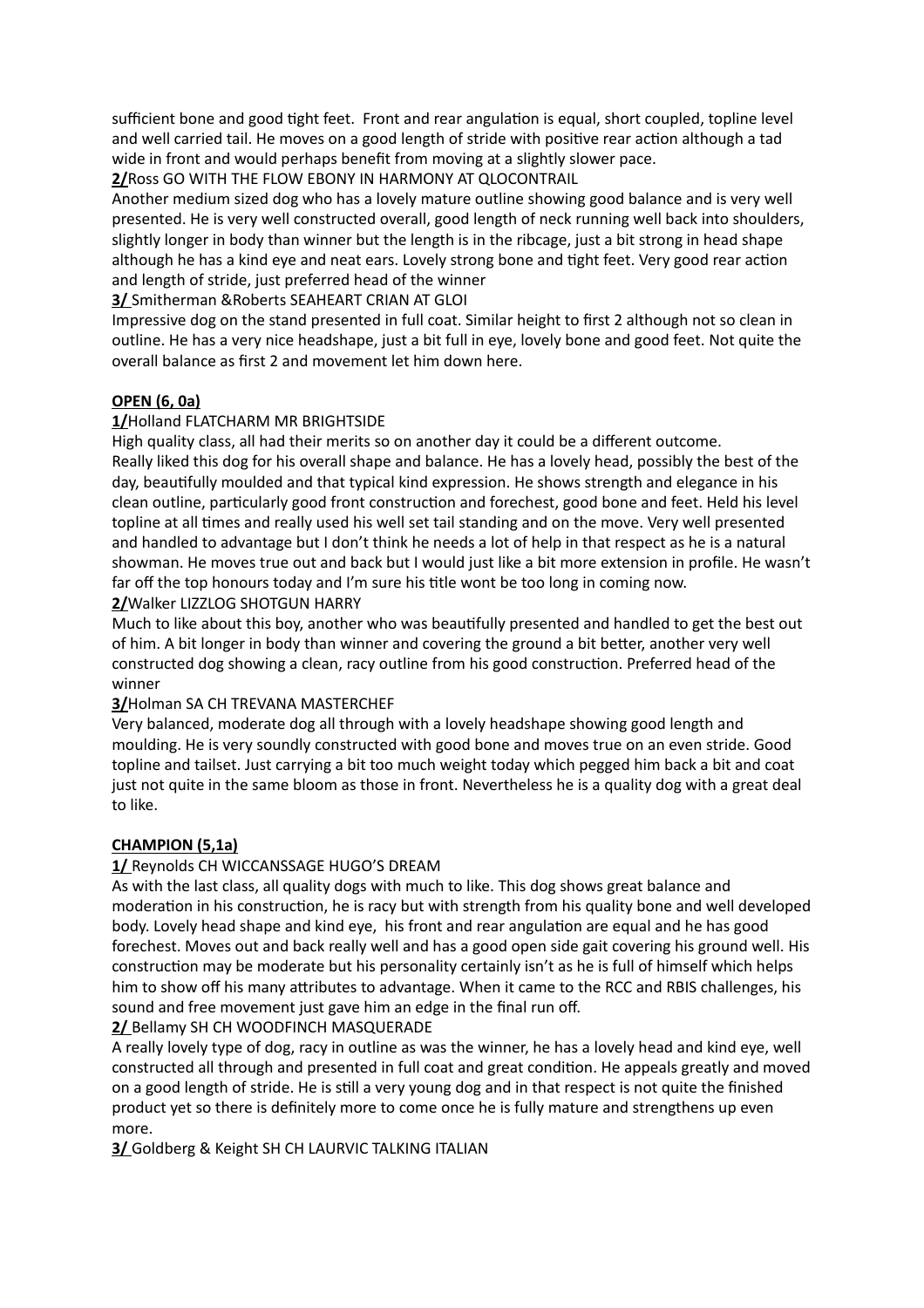sufficient bone and good tight feet. Front and rear angulation is equal, short coupled, topline level and well carried tail. He moves on a good length of stride with positive rear action although a tad wide in front and would perhaps benefit from moving at a slightly slower pace. **2/**Ross GO WITH THE FLOW EBONY IN HARMONY AT QLOCONTRAIL

Another medium sized dog who has a lovely mature outline showing good balance and is very well presented. He is very well constructed overall, good length of neck running well back into shoulders, slightly longer in body than winner but the length is in the ribcage, just a bit strong in head shape although he has a kind eye and neat ears. Lovely strong bone and tight feet. Very good rear action and length of stride, just preferred head of the winner

### **3/** Smitherman &Roberts SEAHEART CRIAN AT GLOI

Impressive dog on the stand presented in full coat. Similar height to first 2 although not so clean in outline. He has a very nice headshape, just a bit full in eye, lovely bone and good feet. Not quite the overall balance as first 2 and movement let him down here.

### **OPEN (6, 0a)**

### **1/**Holland FLATCHARM MR BRIGHTSIDE

High quality class, all had their merits so on another day it could be a different outcome. Really liked this dog for his overall shape and balance. He has a lovely head, possibly the best of the day, beautifully moulded and that typical kind expression. He shows strength and elegance in his clean outline, particularly good front construction and forechest, good bone and feet. Held his level topline at all times and really used his well set tail standing and on the move. Very well presented and handled to advantage but I don't think he needs a lot of help in that respect as he is a natural showman. He moves true out and back but I would just like a bit more extension in profile. He wasn't far off the top honours today and I'm sure his title wont be too long in coming now.

**2/**Walker LIZZLOG SHOTGUN HARRY

Much to like about this boy, another who was beautifully presented and handled to get the best out of him. A bit longer in body than winner and covering the ground a bit better, another very well constructed dog showing a clean, racy outline from his good construction. Preferred head of the winner

#### **3/**Holman SA CH TREVANA MASTERCHEF

Very balanced, moderate dog all through with a lovely headshape showing good length and moulding. He is very soundly constructed with good bone and moves true on an even stride. Good topline and tailset. Just carrying a bit too much weight today which pegged him back a bit and coat just not quite in the same bloom as those in front. Nevertheless he is a quality dog with a great deal to like.

#### **CHAMPION (5,1a)**

#### **1/** Reynolds CH WICCANSSAGE HUGO'S DREAM

As with the last class, all quality dogs with much to like. This dog shows great balance and moderation in his construction, he is racy but with strength from his quality bone and well developed body. Lovely head shape and kind eye, his front and rear angulation are equal and he has good forechest. Moves out and back really well and has a good open side gait covering his ground well. His construction may be moderate but his personality certainly isn't as he is full of himself which helps him to show off his many attributes to advantage. When it came to the RCC and RBIS challenges, his sound and free movement just gave him an edge in the final run off.

#### **2/** Bellamy SH CH WOODFINCH MASQUERADE

A really lovely type of dog, racy in outline as was the winner, he has a lovely head and kind eye, well constructed all through and presented in full coat and great condition. He appeals greatly and moved on a good length of stride. He is still a very young dog and in that respect is not quite the finished product yet so there is definitely more to come once he is fully mature and strengthens up even more.

**3/** Goldberg & Keight SH CH LAURVIC TALKING ITALIAN